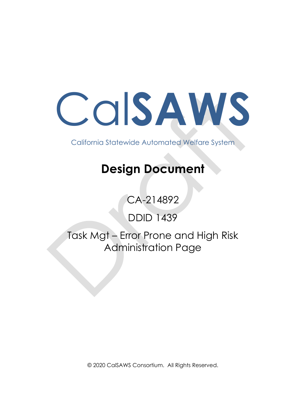Cal**SAWS**

California Statewide Automated Welfare System

# **Design Document**

CA-214892

DDID 1439

Task Mgt – Error Prone and High Risk Administration Page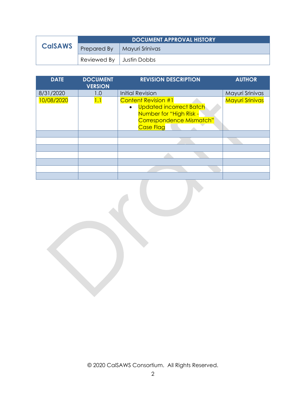|                | <b>DOCUMENT APPROVAL HISTORY</b>     |                 |
|----------------|--------------------------------------|-----------------|
| <b>CalSAWS</b> | Prepared By                          | Mayuri Srinivas |
|                | Reviewed By $\parallel$ Justin Dobbs |                 |

| <b>DATE</b> | <b>DOCUMENT</b><br><b>VERSION</b> | <b>REVISION DESCRIPTION</b>                                                                                                                          | <b>AUTHOR</b>   |
|-------------|-----------------------------------|------------------------------------------------------------------------------------------------------------------------------------------------------|-----------------|
| 8/31/2020   | 1.0                               | <b>Initial Revision</b>                                                                                                                              | Mayuri Srinivas |
| 10/08/2020  | 1.1                               | <b>Content Revision #1</b><br><b>Updated incorrect Batch</b><br>$\bullet$<br>Number for "High Risk -<br>Correspondence Mismatch"<br><b>Case Flag</b> | Mayuri Srinivas |
|             |                                   |                                                                                                                                                      |                 |
|             |                                   |                                                                                                                                                      |                 |
|             |                                   |                                                                                                                                                      |                 |
|             |                                   |                                                                                                                                                      |                 |
|             |                                   |                                                                                                                                                      |                 |
|             |                                   |                                                                                                                                                      |                 |
|             |                                   |                                                                                                                                                      |                 |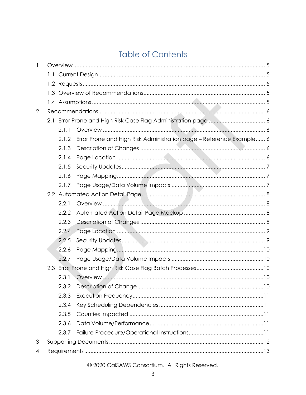## **Table of Contents**

| 1              |  |       |                                                                     |  |
|----------------|--|-------|---------------------------------------------------------------------|--|
|                |  |       |                                                                     |  |
|                |  |       |                                                                     |  |
|                |  |       |                                                                     |  |
|                |  |       |                                                                     |  |
| $\overline{2}$ |  |       |                                                                     |  |
|                |  |       |                                                                     |  |
|                |  | 2.1.1 |                                                                     |  |
|                |  | 2.1.2 | Error Prone and High Risk Administration page - Reference Example 6 |  |
|                |  | 2.1.3 |                                                                     |  |
|                |  | 2.1.4 |                                                                     |  |
|                |  | 2.1.5 |                                                                     |  |
|                |  | 2.1.6 |                                                                     |  |
|                |  | 2.1.7 |                                                                     |  |
|                |  |       |                                                                     |  |
|                |  | 2.2.1 |                                                                     |  |
|                |  | 2.2.2 |                                                                     |  |
|                |  | 2.2.3 |                                                                     |  |
|                |  | 2.2.4 |                                                                     |  |
|                |  | 2.2.5 |                                                                     |  |
|                |  | 2.2.6 |                                                                     |  |
|                |  | 2.2.7 |                                                                     |  |
|                |  |       |                                                                     |  |
|                |  | 2.3.1 |                                                                     |  |
|                |  | 2.3.2 |                                                                     |  |
|                |  | 2.3.3 |                                                                     |  |
|                |  | 2.3.4 |                                                                     |  |
|                |  | 2.3.5 |                                                                     |  |
|                |  | 2.3.6 |                                                                     |  |
|                |  | 2.3.7 |                                                                     |  |
| 3              |  |       |                                                                     |  |
| $\overline{4}$ |  |       |                                                                     |  |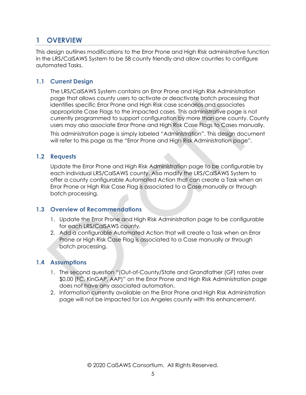## <span id="page-4-0"></span>**1 OVERVIEW**

This design outlines modifications to the Error Prone and High Risk administrative function in the LRS/CalSAWS System to be 58 county friendly and allow counties to configure automated Tasks.

#### <span id="page-4-1"></span>**1.1 Current Design**

The LRS/CalSAWS System contains an Error Prone and High Risk Administration page that allows county users to activate or deactivate batch processing that identifies specific Error Prone and High Risk case scenarios and associates appropriate Case Flags to the impacted cases. This administrative page is not currently programmed to support configuration by more than one county. County users may also associate Error Prone and High Risk Case Flags to Cases manually.

This administration page is simply labeled "Administration". This design document will refer to this page as the "Error Prone and High Risk Administration page".

#### <span id="page-4-2"></span>**1.2 Requests**

Update the Error Prone and High Risk Administration page to be configurable by each individual LRS/CalSAWS county. Also modify the LRS/CalSAWS System to offer a county configurable Automated Action that can create a Task when an Error Prone or High Risk Case Flag is associated to a Case manually or through batch processing.

#### <span id="page-4-3"></span>**1.3 Overview of Recommendations**

- 1. Update the Error Prone and High Risk Administration page to be configurable for each LRS/CalSAWS county.
- 2. Add a configurable Automated Action that will create a Task when an Error Prone or High Risk Case Flag is associated to a Case manually or through batch processing.

#### <span id="page-4-4"></span>**1.4 Assumptions**

- 1. The second question "(Out-of-County/State and Grandfather (GF) rates over \$0.00 (FC, KinGAP, AAP)" on the Error Prone and High Risk Administration page does not have any associated automation.
- 2. Information currently available on the Error Prone and High Risk Administration page will not be impacted for Los Angeles county with this enhancement.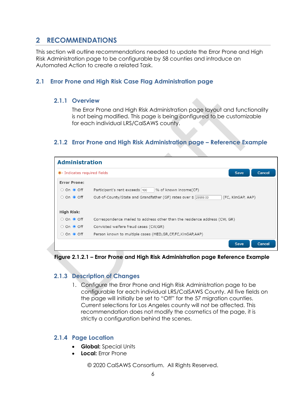## <span id="page-5-0"></span>**2 RECOMMENDATIONS**

This section will outline recommendations needed to update the Error Prone and High Risk Administration page to be configurable by 58 counties and introduce an Automated Action to create a related Task.

#### <span id="page-5-2"></span><span id="page-5-1"></span>**2.1 Error Prone and High Risk Case Flag Administration page**

#### **2.1.1 Overview**

The Error Prone and High Risk Administration page layout and functionality is not being modified. This page is being configured to be customizable for each individual LRS/CalSAWS county.

#### <span id="page-5-3"></span>**2.1.2 Error Prone and High Risk Administration page – Reference Example**

| <b>Administration</b>        |                                                                                      |  |  |
|------------------------------|--------------------------------------------------------------------------------------|--|--|
| *- Indicates required fields | Save<br>Cancel                                                                       |  |  |
| <b>Error Prone:</b>          |                                                                                      |  |  |
| ○ On ● Off                   | Participant's rent exceeds 100<br>% of known income(CF)                              |  |  |
| ○ On ● Off                   | Out-of-County/State and Grandfather (GF) rates over \$ 29999.00<br>(FC, KinGAP, AAP) |  |  |
| High Risk:                   |                                                                                      |  |  |
| ○ On ● Off                   | Correspondence mailed to address other than the residence address (CW, GR)           |  |  |
| $\circ$ On $\bullet$ Off     | Convicted welfare fraud cases (CW,GR)                                                |  |  |
| ○ On ● Off                   | Person known to multiple cases (MED, GR, CF, FC, KinGAP, AAP)                        |  |  |
|                              | Save<br>Cancel                                                                       |  |  |

<span id="page-5-4"></span>**Figure 2.1.2.1 – Error Prone and High Risk Administration page Reference Example**

#### **2.1.3 Description of Changes**

1. Configure the Error Prone and High Risk Administration page to be configurable for each individual LRS/CalSAWS County. All five fields on the page will initially be set to "Off" for the 57 migration counties. Current selections for Los Angeles county will not be affected. This recommendation does not modify the cosmetics of the page, it is strictly a configuration behind the scenes.

#### <span id="page-5-5"></span>**2.1.4 Page Location**

- **Global:** Special Units
- **Local:** Error Prone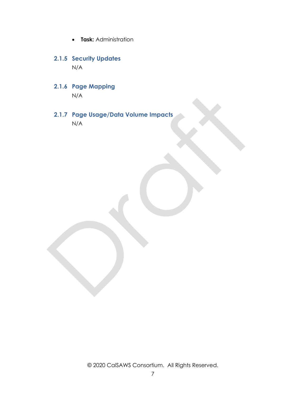- **Task:** Administration
- <span id="page-6-0"></span>**2.1.5 Security Updates** N/A
- <span id="page-6-1"></span>**2.1.6 Page Mapping** N/A
- <span id="page-6-2"></span>**2.1.7 Page Usage/Data Volume Impacts** N/A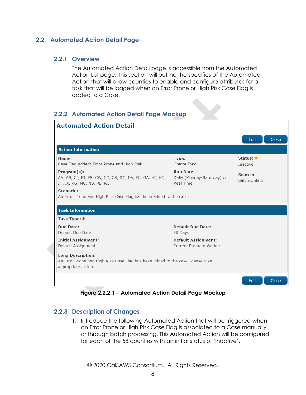#### <span id="page-7-1"></span><span id="page-7-0"></span>**2.2 Automated Action Detail Page**

#### **2.2.1 Overview**

The Automated Action Detail page is accessible from the Automated Action List page. This section will outline the specifics of the Automated Action that will allow counties to enable and configure attributes for a task that will be logged when an Error Prone or High Risk Case Flag is added to a Case.

#### <span id="page-7-2"></span>**2.2.2 Automated Action Detail Page Mockup**

| <b>Automated Action Detail</b>                                                                                                    |                                                             |                         |
|-----------------------------------------------------------------------------------------------------------------------------------|-------------------------------------------------------------|-------------------------|
|                                                                                                                                   |                                                             | Close<br>Edit           |
| <b>Action Information</b>                                                                                                         |                                                             |                         |
| Name:<br>Case Flag Added: Error Prone and High Risk                                                                               | Type:<br>Create Task                                        | Status: *<br>Inactive   |
| $Program(s)$ :<br>AA, AS, CP, FT, FS, CW, CC, CS, DC, DV, FC, GA, HP, HT,<br>IH, IV, KG, MC, NB, PE, RC                           | <b>Run Date:</b><br>Daily (Monday-Saturday) or<br>Real Time | Source:<br>Batch/Online |
| Scenario:<br>An Error Prone and High Risk Case Flag has been added to the case.                                                   |                                                             |                         |
| <b>Task Information</b>                                                                                                           |                                                             |                         |
| Task Type: *                                                                                                                      |                                                             |                         |
| Due Date:<br>Default Due Date                                                                                                     | Default Due Date:<br>30 Days                                |                         |
| <b>Initial Assignment:</b><br>Default Assignment                                                                                  | <b>Default Assignment:</b><br>Current Program Worker        |                         |
| <b>Long Description:</b><br>An Error Prone and High Risk Case Flag has been added to the case. Please take<br>appropriate action. |                                                             |                         |
|                                                                                                                                   |                                                             | Edit<br><b>Close</b>    |

**Figure 2.2.2.1 – Automated Action Detail Page Mockup**

#### <span id="page-7-3"></span>**2.2.3 Description of Changes**

1. Introduce the following Automated Action that will be triggered when an Error Prone or High Risk Case Flag is associated to a Case manually or through batch processing. This Automated Action will be configured for each of the 58 counties with an initial status of 'Inactive'.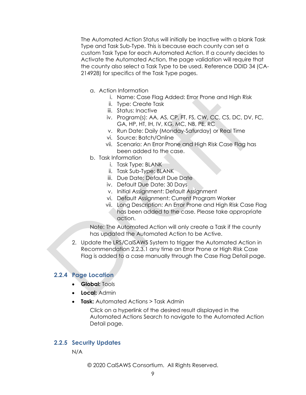The Automated Action Status will initially be Inactive with a blank Task Type and Task Sub-Type. This is because each county can set a custom Task Type for each Automated Action. If a county decides to Activate the Automated Action, the page validation will require that the county also select a Task Type to be used. Reference DDID 34 (CA-214928) for specifics of the Task Type pages.

- a. Action Information
	- i. Name: Case Flag Added: Error Prone and High Risk
	- ii. Type: Create Task
	- iii. Status: Inactive
	- iv. Program(s): AA, AS, CP, FT, FS, CW, CC, CS, DC, DV, FC, GA, HP, HT, IH, IV, KG, MC, NB, PE, RC
	- v. Run Date: Daily (Monday-Saturday) or Real Time
	- vi. Source: Batch/Online
	- vii. Scenario: An Error Prone and High Risk Case Flag has been added to the case.
- b. Task Information
	- i. Task Type: BLANK
	- ii. Task Sub-Type: BLANK
	- iii. Due Date: Default Due Date
	- iv. Default Due Date: 30 Days
	- v. Initial Assignment: Default Assignment
	- vi. Default Assignment: Current Program Worker
	- vii. Long Description: An Error Prone and High Risk Case Flag has been added to the case. Please take appropriate action.

Note: The Automated Action will only create a Task if the county has updated the Automated Action to be Active.

2. Update the LRS/CalSAWS System to trigger the Automated Action in Recommendation 2.2.3.1 any time an Error Prone or High Risk Case Flag is added to a case manually through the Case Flag Detail page.

#### <span id="page-8-0"></span>**2.2.4 Page Location**

- **Global:** Tools
- **Local:** Admin
- **Task:** Automated Actions > Task Admin

Click on a hyperlink of the desired result displayed in the Automated Actions Search to navigate to the Automated Action Detail page.

#### <span id="page-8-1"></span>**2.2.5 Security Updates**

N/A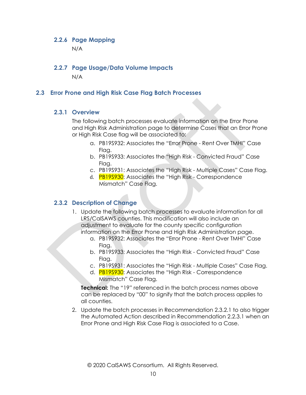#### <span id="page-9-0"></span>**2.2.6 Page Mapping**

N/A

#### <span id="page-9-1"></span>**2.2.7 Page Usage/Data Volume Impacts**

N/A

#### <span id="page-9-3"></span><span id="page-9-2"></span>**2.3 Error Prone and High Risk Case Flag Batch Processes**

#### **2.3.1 Overview**

The following batch processes evaluate information on the Error Prone and High Risk Administration page to determine Cases that an Error Prone or High Risk Case flag will be associated to:

- a. PB19S932: Associates the "Error Prone Rent Over TMHI" Case Flaa.
- b. PB19S933: Associates the "High Risk Convicted Fraud" Case Flag.
- c. PB19S931: Associates the "High Risk Multiple Cases" Case Flag.
- d. PB19S930: Associates the "High Risk Correspondence Mismatch" Case Flag.

#### <span id="page-9-4"></span>**2.3.2 Description of Change**

- 1. Update the following batch processes to evaluate information for all LRS/CalSAWS counties. This modification will also include an adjustment to evaluate for the county specific configuration information on the Error Prone and High Risk Administration page.
	- a. PB19S932: Associates the "Error Prone Rent Over TMHI" Case Flag.
	- b. PB19S933: Associates the "High Risk Convicted Fraud" Case Flag.
	- c. PB19S931: Associates the "High Risk Multiple Cases" Case Flag.
	- d. **PB19S930:** Associates the "High Risk Correspondence Mismatch" Case Flag.

**Technical:** The "19" referenced in the batch process names above can be replaced by "00" to signify that the batch process applies to all counties.

2. Update the batch processes in Recommendation 2.3.2.1 to also trigger the Automated Action described in Recommendation 2.2.3.1 when an Error Prone and High Risk Case Flag is associated to a Case.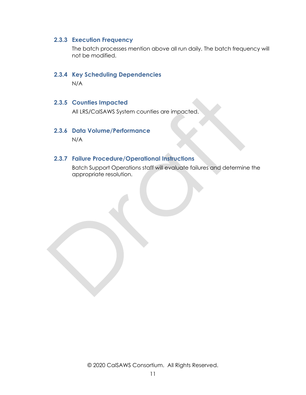#### <span id="page-10-0"></span>**2.3.3 Execution Frequency**

The batch processes mention above all run daily. The batch frequency will not be modified.

#### <span id="page-10-1"></span>**2.3.4 Key Scheduling Dependencies**

N/A

#### <span id="page-10-2"></span>**2.3.5 Counties Impacted**

All LRS/CalSAWS System counties are impacted.

#### <span id="page-10-3"></span>**2.3.6 Data Volume/Performance**

N/A

#### <span id="page-10-4"></span>**2.3.7 Failure Procedure/Operational Instructions**

Batch Support Operations staff will evaluate failures and determine the appropriate resolution.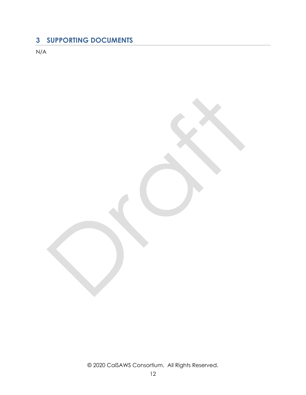## <span id="page-11-0"></span>**3 SUPPORTING DOCUMENTS**

N/A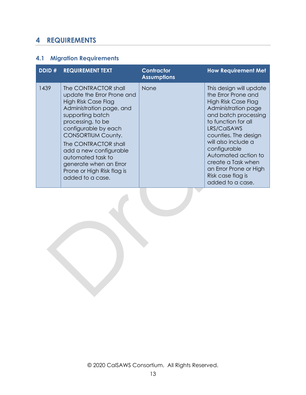## <span id="page-12-0"></span>**4 REQUIREMENTS**

## <span id="page-12-1"></span>**4.1 Migration Requirements**

| DDID # | <b>REQUIREMENT TEXT</b>                                                                                                                                                                                                                                                                                                                                       | <b>Contractor</b><br><b>Assumptions</b> | <b>How Requirement Met</b>                                                                                                                                                                                                                                                                                                                |
|--------|---------------------------------------------------------------------------------------------------------------------------------------------------------------------------------------------------------------------------------------------------------------------------------------------------------------------------------------------------------------|-----------------------------------------|-------------------------------------------------------------------------------------------------------------------------------------------------------------------------------------------------------------------------------------------------------------------------------------------------------------------------------------------|
| 1439   | The CONTRACTOR shall<br>update the Error Prone and<br><b>High Risk Case Flag</b><br>Administration page, and<br>supporting batch<br>processing, to be<br>configurable by each<br><b>CONSORTIUM County.</b><br>The CONTRACTOR shall<br>add a new configurable<br>automated task to<br>generate when an Error<br>Prone or High Risk flag is<br>added to a case. | <b>None</b>                             | This design will update<br>the Error Prone and<br>High Risk Case Flag<br>Administration page<br>and batch processing<br>to function for all<br>LRS/CalSAWS<br>counties. The design<br>will also include a<br>configurable<br>Automated action to<br>create a Task when<br>an Error Prone or High<br>Risk case flag is<br>added to a case. |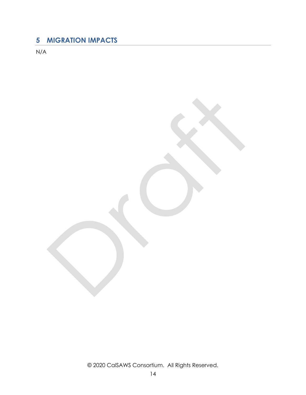## <span id="page-13-0"></span>**5 MIGRATION IMPACTS**

N/A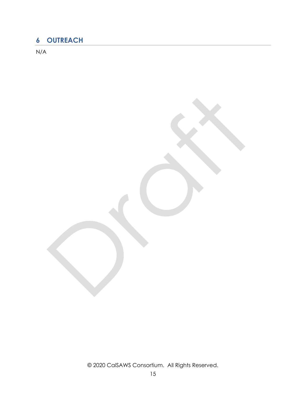## <span id="page-14-0"></span>**6 OUTREACH**

N/A